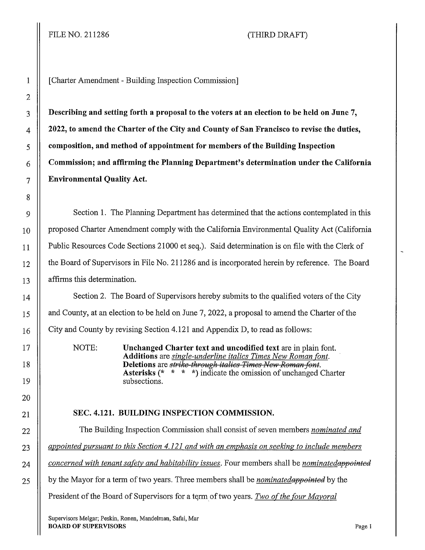# FILE NO. 211286 (THIRD DRAFT)

1 [Charter Amendment - Building Inspection Commission]

**Describing and setting forth a proposal to the voters at an election to be held on June 7, 4 2022, to amend the Charter of the City and County of San Francisco to revise the duties, composition, and method of appointment for members of the Building Inspection Commission; and affirming the Planning Department's determination under the California Environmental Quality Act.** 

9 Section 1. The Planning Department has determined that the actions contemplated in this 10 | proposed Charter Amendment comply with the California Environmental Quality Act (California 11 | Public Resources Code Sections 21000 et seq.). Said determination is on file with the Clerk of 12 | the Board of Supervisors in File No. 211286 and is incorporated herein by reference. The Board 13 || affirms this determination.

14 | Section 2. The Board of Supervisors hereby submits to the qualified voters of the City 15 | and County, at an election to be held on June 7, 2022, a proposal to amend the Charter of the  $16$  City and County by revising Section 4.121 and Appendix D, to read as follows:

> NOTE: **Unchanged Charter text and uncodified text** are in plain font. **Additions** are *single-underline italics Times New Roman font.*  **Deletions** are *strike-through italics Times New Roman font.* **Asterisks** (\* \* \* \*) indicate the omission of unchanged Charter subsections.

## 21 **SEC. 4.121. BUILDING INSPECTION COMMISSION.**

22 The Building Inspection Commission shall consist of seven members *nominated and*  23 *appointed pursuant to this Section 4.121 and with an emphasis on seeking to include members*  24 *concerned with tenant safety and habitability issues.* **Four members shall be** *nominated appointed* 25 by the Mayor for a term of two years. Three members shall be *nominated appointed* by the President of the Board of Supervisors for a term of two years. *Two of the four Mayoral*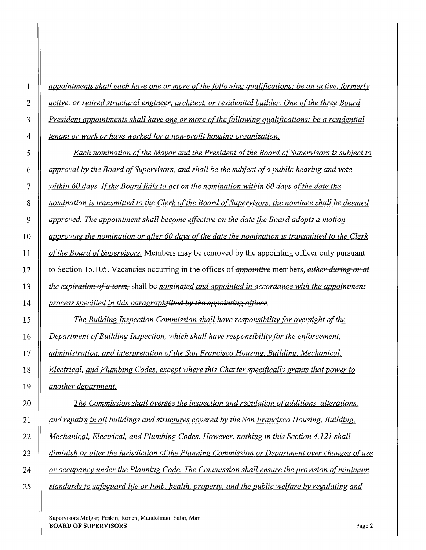*appointments shall each have one or more of the following qualifications: be an active, formerly active, or retired structural engineer, architect, or residential builder. One ofthe three Board President appointments shall have one or more of the following qualifications: be a residential tenant or work or have worked for a non-profit housing organization.* 

*Each nomination of the Mayor and the President of the Board of Supervisors is subject to approval by the Board of Supervisors, and shall be the subject of a public hearing and vote within 60 days. ![the Board fails to act on the nomination within 60 days of the date the nomination is transmitted to the Clerk of the Board of Supervisors, the nominee shall be deemed**approved. The appointment shall become effective on the date the Board adopts a motion approving the nomination or after 60 days ofthe date the nomination is transmitted to the Clerk of the Board of Supervisors.* Members may be removed by the appointing officer only pursuant 12 to Section 15 .105. Vacancies occurring in the offices of *€1,ppaintive* members, *either during er at*  **the expiration of a term,** shall be *nominated and appointed in accordance with the appointment | process specified in this paragraphfilled by the appointing officer.* 

*The Building Inspection Commission shall have responsibility for oversight of the Department ofBuilding Inspection, which shall have responsibility for the enforcement, administration, and interpretation of the San Francisco Housing, Building, Mechanical, Electrical, and Plumbing Codes, except where this Charter specifically grants that power to another department.* 

*The Commission shall oversee the inspection and regulation of additions, alterations, and repairs in all buildings and structures covered by the San Francisco Housing, Building. Mechanical, Electrical, and Plumbing Codes. However, nothing in this Section 4.121 shall diminish or alter the jurisdiction ofthe Planning Commission or Department over changes of use or occupancy under the Planning Code. The Commission shall ensure the provision of minimum standards to safeguard life or limb, health, property, and the public welfare by regulating and*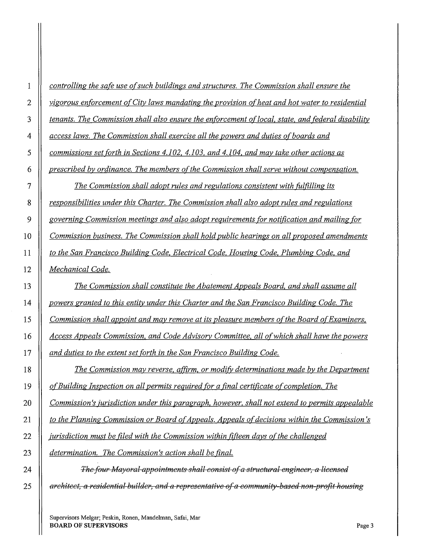| 1            | controlling the safe use of such buildings and structures. The Commission shall ensure the        |
|--------------|---------------------------------------------------------------------------------------------------|
| $\mathbf{2}$ | vigorous enforcement of City laws mandating the provision of heat and hot water to residential    |
| 3            | tenants. The Commission shall also ensure the enforcement of local, state, and federal disability |
| 4            | access laws. The Commission shall exercise all the powers and duties of boards and                |
| 5            | commissions set forth in Sections 4.102, 4.103, and 4.104, and may take other actions as          |
| 6            | prescribed by ordinance. The members of the Commission shall serve without compensation.          |
| 7            | <u>The Commission shall adopt rules and regulations consistent with fulfilling its</u>            |
| 8            | responsibilities under this Charter. The Commission shall also adopt rules and regulations        |
| 9            | governing Commission meetings and also adopt requirements for notification and mailing for        |
| 10           | Commission business. The Commission shall hold public hearings on all proposed amendments         |
| 11           | to the San Francisco Building Code, Electrical Code, Housing Code, Plumbing Code, and             |
| 12           | <u>Mechanical Code.</u>                                                                           |
| 13           | The Commission shall constitute the Abatement Appeals Board, and shall assume all                 |
| 14           | powers granted to this entity under this Charter and the San Francisco Building Code. The         |
| 15           | Commission shall appoint and may remove at its pleasure members of the Board of Examiners,        |
| 16           | Access Appeals Commission, and Code Advisory Committee, all of which shall have the powers        |
| 17           | and duties to the extent set forth in the San Francisco Building Code.                            |
| 18           | The Commission may reverse, affirm, or modify determinations made by the Department               |
| 19           | of Building Inspection on all permits required for a final certificate of completion. The         |
| 20           | Commission's jurisdiction under this paragraph, however, shall not extend to permits appealable   |
| 21           | to the Planning Commission or Board of Appeals. Appeals of decisions within the Commission's      |
| 22           | jurisdiction must be filed with the Commission within fifteen days of the challenged              |
| 23           | determination. The Commission's action shall be final.                                            |
| 24           | The four Mayoral-appointments shall consist of a structural engineer, a licensed                  |

*architect, a residential builder, and a representative ofa community based non profit housing*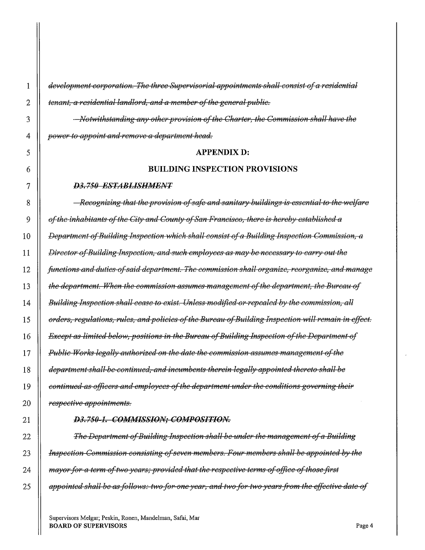*development corporation. The three Supervisorial appointments shall consist of a residential* **d** tenant, a residential landlord, and a member of the general public.

*l'lofvrlithstanding any other provision of the Charter, the Commission shall have the*  **||** *power to appoint and remove a department head.* 

#### **APPENDIX D:**

#### **BUILDING INSPECTION PROVISIONS**

#### *D3. 750 ESTAJJLISHAIENT*

**Recognizing that the provision of safe and sanitary buildings is essential to the welfare**  $\theta$ *dearer inhabitants of the City and County of San Francisco, there is hereby established a* $\theta$ **||** Department of Building Inspection which shall consist of a Building Inspection Commission, a *|| Director of Building Inspection, and such employees as may be necessary to carry out the functions and duties ofsaid department. The commission shall organize, reorganize, and manage degria 1* and *the department. When the commission assumes management of the department, the Bureau of Building Inspection shall cease to exist. Unless modified or repealed by the commission, all* 15 | orders, regulations, rules, and policies of the Bureau of Building Inspection will remain in effect. *Except as limited below, positions in the Bureau ofBuilding Inspection of the Department of*  7 *Public* W~rks *legally authorized on the date the commission assumes management of the*  **department shall-be-continued, and incumbents therein legally appointed thereto shall be** *continued as officers and employees of the department under the conditions governing their respective appointments.* 

#### *D3.750-1. COMMISSION; COMPOSITION.*

**The Department of Building Inspection shall be under the management of a Building** *II Inspection Commission consisting of seven members. Four members shall be appointed by the a ii mayor for a term of two years; provided that the respective terms of office of those first* 25 || appointed shall be as follows: two for-one year, and two for two years from the effective date of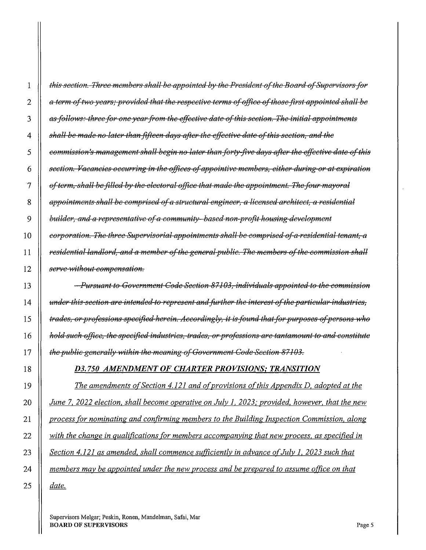**|** this section. Three members shall be appointed by the President of the Board of Supervisors for 2 || a term of two years; provided that the respective terms of office of those first appointed shall be 3 || as follows: three for one year from the effective date of this section. The initial appointments *shall he made no later thanfiftecn days after the effective date of this section, and the*  5 || commission's management shall begin no later than forty-five days after the effective date of this *section. Vacancies occurring in the offices of appointive members, either during or at expiration* $\theta$  $\mathcal{T}$   $||$  of term, shall be filled by the electoral office that made the appointment. The four mayoral *appointments shall be comprised of a structural engineer, a licensed architect, a residential* $\theta$ **d** *builder, and a representative of a community-based non-profit housing-development corporation. The three Supervisorial appointments shall be comprised of a residential tenant, a* $\overline{a}$ *residential landlord, and a member of the gcncrelpuhlic. The members of the commission shell*  **||** serve-without compensation.

*Pursuant to Government Code Section 87103, individuals appointed to the commission dunder this section are intended to represent and further the interest of the particular industries, trades, or-professions specified-herein. Accordingly, it is found that for purposes of persons who* $\theta$ *hold such office, the specified industries, trades, or professions are tantamount to and constitute* $\frac{1}{2}$ *the public generally within the meaning of Government Code Section 87103.* 

## *D3. 750 AMENDMENT OF CHARTER PROVISIONS; TRANSITION*

*The amendments of Section 4.121 and ofprovisions of this Appendix D, adopted at the June* 7, *2022 election, shall become operative on July l, 2023; provided, however, that the new process for nominating and confirming members to the Building Inspection Commission, along with the change in qualifications for members accompanying that new process, as specified in*  **Section 4.121 as amended, shall commence sufficiently in advance of July 1, 2023 such that** *members may be appointed under the new process and be prepared to assume otfice on that date.*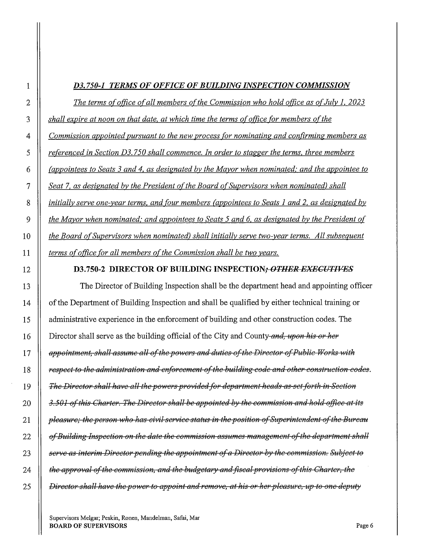# *D3. 750-1 TERMS OF OFFICE OF BUILDING INSPECTION COMMISSION*

**The terms of office of all members of the Commission who hold office as of July 1, 2023** *shall expire at noon on that date, at which time the terms of office for members of the Commission appointed pursuant to the new process for nominating and confirming members as f* referenced in Section D3.750 shall commence. In order to stagger the terms, three members *(appointees to Seats 3 and 4, as designated by the Mayor when nominated: and the appointee to Seat* 7, *as designated by the President ofthe Board o[Supervisors when nominated) shall initially serve one-year terms, and four members (appointees to Seats 1 and 2, as designated by*  **the Mayor when nominated; and appointees to Seats 5 and 6, as designated by the President of the Board of Supervisors when nominated) shall initially serve two-year terms.** All subsequent **terms of office for all members of the Commission shall be two years.** 

## 12 D3.750-2 DIRECTOR OF BUILDING INSPECTION; *OTHER EXECUTIVES*

13 The Director of Building Inspection shall be the department head and appointing officer 14 | of the Department of Building Inspection and shall be qualified by either technical training or 15 administrative experience in the enforcement of building and other construction codes. The **Director shall serve as the building official of the City and County-and, upon his or her** *appointment, shall assume all of the powers and duties of the Director of Public Works with* $\blacksquare$ *espect to the administration and enforcement of the building code and other construction codes. The Director shell heve ell the powers provided for dcpertment heeds es set forth, in Section 3.501 ofthis Cherter. The Director shell be appointed by the commission end hold office et its ii pleasure; the person who has civil service status in the position of Superintendent of the Bureau* **abbe** *of Building Inspection on the date the commission assumes management of the department shall serve es interim Director pending the appointment ofe Director by the commission. Subject to*  **the approval of the commission, and the budgetary and fiscal provisions of this Charter, the** *Director shall have the power to appoint and remove, at his or her pleasure, up to one deputy*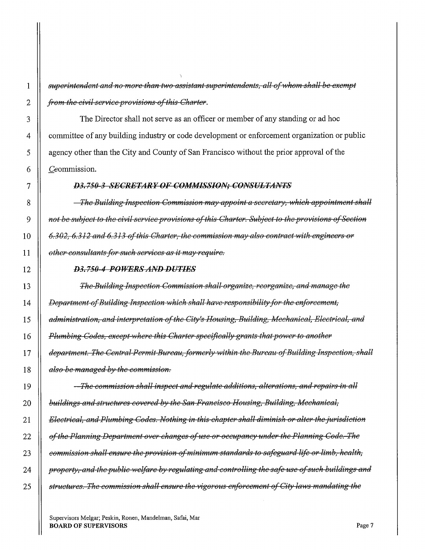*i* superintendent and no more than two assistant superintendents, all of whom shall be exempt *from the civil service provisions of this Charter.* 

3 The Director shall not serve as an officer or member of any standing or ad hoc 4 committee of any building industry or code development or enforcement organization or public 5 agency other than the City and County of San Francisco without the prior approval of the 6 | Ceommission.

#### *D3. 750 3 SECRETARY OF GOA/MISSION; CONSULTANTS*

*The Building Inspection Commission may appoint a secretary, which appointment shall pot be subject to the civil service provisions of this Charter. Subject to the provisions of Section* $\theta$ *6.302, 6.312 and 6.313 of this Charter, the commission may also contract with engineers or bther-consultants for such services as it may-require.* 

#### *D3.750 4 POWERSANDDUTJES*

*The Building Inspection Commission shall organize, reorganize, and manage the Department of Building Inspection which shall have responsibility for the enforcement, daministration, and interpretation of the City's Housing, Building, Mechanical, Electrical, and* $\overline{\phantom{a}}$ *Plumbing Codes, except where this Charter specifically grants that power to another department. The Central Permit Bureau, formerly within the Bureau of Building Inspection, shall* **1** *also be managed by the commission.* 

*The commission shall inspect and regulate additions, alterations, and repairs in all buildings and structures covered by the San Francisco Housing, Building, Mechanical, Electrical, and Plumbing Codes. Nothing in this chapter shall diminish or alter the jurisdiction* $\Box$ 22 | *of the Planning Department over changes of use or occupancy under the Planning Code. The commission shall ensure the provision of minimum standards to safeguard life or limb, health, property, and the public welfare by regulating and controlling the safe use of such buildings and 24 and 24 and 24 and 25 and analyzing metallings and*  $\mu$ *structures. The commission shall ensure the 1Jigorous enforcement of City laivs mandating the*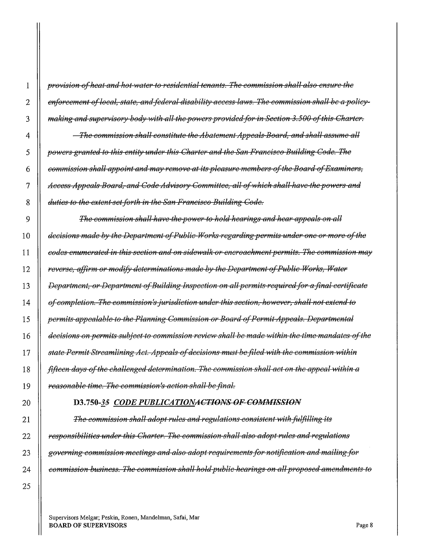*provision of heat and hot water to residential tenants. The commission shall also ensure the* 2 || enforcement of local, state, and federal disability access laws. The commission shall be a policy-*making and supervisory body with all the powers provided for in Section 3.500 of this Charter.* 

*The commission shall constitute the Abatement Appeals Board, and shall assume all powers granted to this entity under this Charter and the San Francisco Building Code. The commission shall appoint and may remove at its pleasure members oftlie Board ofExaminers, Access Appeals Board, and Code Advisory Committee, all of which shall-have-the powers and* **duties to the extent-set forth in the San Francisco Building Code.** 

9 || The commission shall have the power to hold hearings and hear appeals on all **decisions made by the Department of Public-Works-regarding permits under one or more of the** *codes enumerated in this section and on sidewalk or encroachment permits. The commission may reverse, affirm or modify determinations made by the Department of Public Works, Water**f Department, or Department ofBuilding Inspection on all permits required for a final certificate deger of completion. The commission's jurisdiction under this section, however, shall not extend to permits appealable to the Planning Commission or Board of Permit Appeals. Departmental* **1** *decisions on permits subject to commission review shall be made within the time mandates of the state Permit Streamlining Act. Appeals of decisions must befiled with the commission ·witliin fifteen days of the challenged determination. The commission shall act on the appeal within a reasonable time. The commission's action shall be final.* 

#### **D3.750-35** *CODE PUBLICATIONACTIONS OF COMMISSION*

**The commission shall adopt rules and regulations consistent with fulfilling its** *|| responsibilities under this Charter. The commission shall also adopt rules and regulations governing commission meetings and also adopt requirements for notification and mailing for commission business. The commission shall holdpublic heerings on allpreposed amendments to*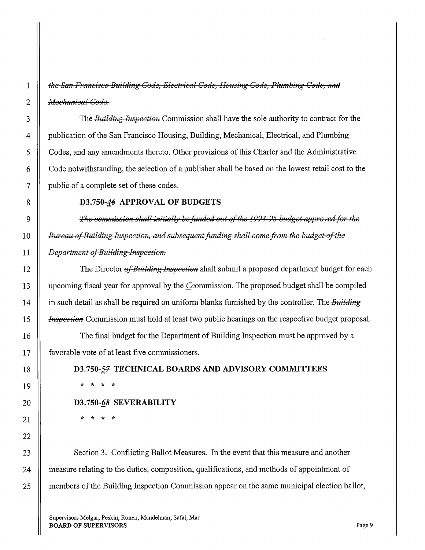*the San Froncisco Building Code, Electrical Code, Housing Code, Plumbing Code, and Nlechanical Code.* 

The *Building Inspection* Commission shall have the sole authority to contract for the publication of the San Francisco Housing, Building, Mechanical, Electrical, and Plumbing Codes, and any amendments thereto. Other provisions of this Charter and the Administrative Code notwithstanding, the selection of a publisher shall be based on the lowest retail cost to the public of a complete set of these codes.

### **D3.750-46 APPROVAL OF BUDGETS**

*The commission shall initially be funded out of the 1994 95 budget approved for the*  **Bureau of Building Inspection, and subsequent funding shall come from the budget of the** *Department of Building Inspection.* 

The Director *of Building Inspection* shall submit a proposed department budget for each upcoming fiscal year for approval by the Ceommission. The proposed budget shall be compiled in such detail as shall be required on uniform blanks furnished by the controller. The *Building Inspection* Commission must hold at least two public hearings on the respective budget proposal.

The final budget for the Department of Building Inspection must be approved by a favorable vote of at least five commissioners.

# **D3.750-57 TECHNICAL BOARDS AND ADVISORY COMMITTEES**

\* \* \* \*

### **D3.750-fi8 SEVERABILITY**

\* \* \* \*

23 Section 3. Conflicting Ballot Measures. In the event that this measure and another 24 | measure relating to the duties, composition, qualifications, and methods of appointment of 25 **I** members of the Building Inspection Commission appear on the same municipal election ballot,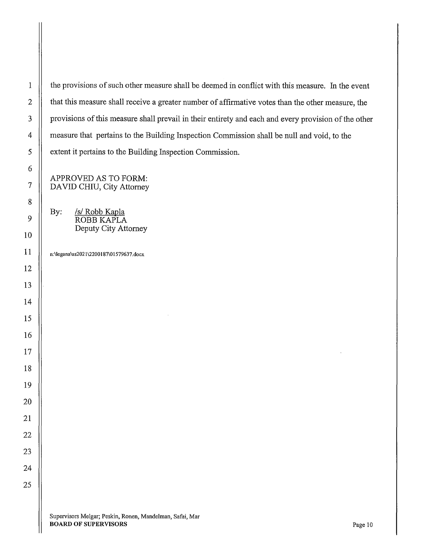1 | the provisions of such other measure shall be deemed in conflict with this measure. In the event 2 | that this measure shall receive a greater number of affirmative votes than the other measure, the 3 | provisions of this measure shall prevail in their entirety and each and every provision of the other measure that pertains to the Building Inspection Commission shall be null and void, to the 5 | extent it pertains to the Building Inspection Commission.

APPROVED AS TO FORM: 7 DA YID CHIU, City Attorney

> By: /s/ Robb Kapla ROBBKAPLA Deputy City Attorney

n:\legana\as2021\2200187\01579637.docx